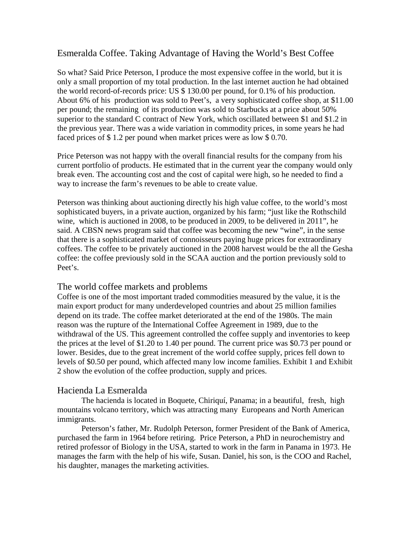# Esmeralda Coffee. Taking Advantage of Having the World's Best Coffee

So what? Said Price Peterson, I produce the most expensive coffee in the world, but it is only a small proportion of my total production. In the last internet auction he had obtained the world record-of-records price: US \$ 130.00 per pound, for 0.1% of his production. About 6% of his production was sold to Peet's, a very sophisticated coffee shop, at \$11.00 per pound; the remaining of its production was sold to Starbucks at a price about 50% superior to the standard C contract of New York, which oscillated between \$1 and \$1.2 in the previous year. There was a wide variation in commodity prices, in some years he had faced prices of \$ 1.2 per pound when market prices were as low \$ 0.70.

Price Peterson was not happy with the overall financial results for the company from his current portfolio of products. He estimated that in the current year the company would only break even. The accounting cost and the cost of capital were high, so he needed to find a way to increase the farm's revenues to be able to create value.

Peterson was thinking about auctioning directly his high value coffee, to the world's most sophisticated buyers, in a private auction, organized by his farm; "just like the Rothschild wine, which is auctioned in 2008, to be produced in 2009, to be delivered in 2011", he said. A CBSN news program said that coffee was becoming the new "wine", in the sense that there is a sophisticated market of connoisseurs paying huge prices for extraordinary coffees. The coffee to be privately auctioned in the 2008 harvest would be the all the Gesha coffee: the coffee previously sold in the SCAA auction and the portion previously sold to Peet's.

## The world coffee markets and problems

Coffee is one of the most important traded commodities measured by the value, it is the main export product for many underdeveloped countries and about 25 million families depend on its trade. The coffee market deteriorated at the end of the 1980s. The main reason was the rupture of the International Coffee Agreement in 1989, due to the withdrawal of the US. This agreement controlled the coffee supply and inventories to keep the prices at the level of \$1.20 to 1.40 per pound. The current price was \$0.73 per pound or lower. Besides, due to the great increment of the world coffee supply, prices fell down to levels of \$0.50 per pound, which affected many low income families. Exhibit 1 and Exhibit 2 show the evolution of the coffee production, supply and prices.

## Hacienda La Esmeralda

 The hacienda is located in Boquete, Chiriquí, Panama; in a beautiful, fresh, high mountains volcano territory, which was attracting many Europeans and North American immigrants.

 Peterson's father, Mr. Rudolph Peterson, former President of the Bank of America, purchased the farm in 1964 before retiring. Price Peterson, a PhD in neurochemistry and retired professor of Biology in the USA, started to work in the farm in Panama in 1973. He manages the farm with the help of his wife, Susan. Daniel, his son, is the COO and Rachel, his daughter, manages the marketing activities.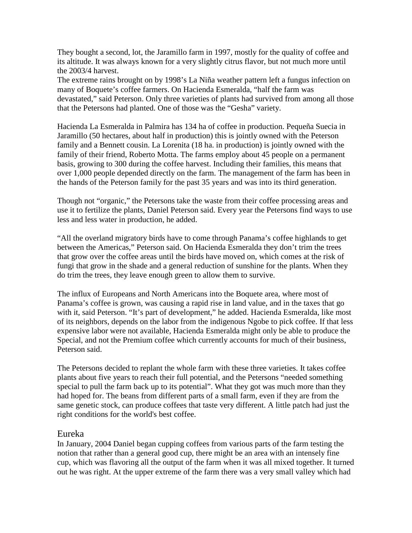They bought a second, lot, the Jaramillo farm in 1997, mostly for the quality of coffee and its altitude. It was always known for a very slightly citrus flavor, but not much more until the 2003/4 harvest.

The extreme rains brought on by 1998's La Niña weather pattern left a fungus infection on many of Boquete's coffee farmers. On Hacienda Esmeralda, "half the farm was devastated," said Peterson. Only three varieties of plants had survived from among all those that the Petersons had planted. One of those was the "Gesha" variety.

Hacienda La Esmeralda in Palmira has 134 ha of coffee in production. Pequeña Suecia in Jaramillo (50 hectares, about half in production) this is jointly owned with the Peterson family and a Bennett cousin. La Lorenita (18 ha. in production) is jointly owned with the family of their friend, Roberto Motta. The farms employ about 45 people on a permanent basis, growing to 300 during the coffee harvest. Including their families, this means that over 1,000 people depended directly on the farm. The management of the farm has been in the hands of the Peterson family for the past 35 years and was into its third generation.

Though not "organic," the Petersons take the waste from their coffee processing areas and use it to fertilize the plants, Daniel Peterson said. Every year the Petersons find ways to use less and less water in production, he added.

"All the overland migratory birds have to come through Panama's coffee highlands to get between the Americas," Peterson said. On Hacienda Esmeralda they don't trim the trees that grow over the coffee areas until the birds have moved on, which comes at the risk of fungi that grow in the shade and a general reduction of sunshine for the plants. When they do trim the trees, they leave enough green to allow them to survive.

The influx of Europeans and North Americans into the Boquete area, where most of Panama's coffee is grown, was causing a rapid rise in land value, and in the taxes that go with it, said Peterson. "It's part of development," he added. Hacienda Esmeralda, like most of its neighbors, depends on the labor from the indigenous Ngobe to pick coffee. If that less expensive labor were not available, Hacienda Esmeralda might only be able to produce the Special, and not the Premium coffee which currently accounts for much of their business, Peterson said.

The Petersons decided to replant the whole farm with these three varieties. It takes coffee plants about five years to reach their full potential, and the Petersons "needed something special to pull the farm back up to its potential". What they got was much more than they had hoped for. The beans from different parts of a small farm, even if they are from the same genetic stock, can produce coffees that taste very different. A little patch had just the right conditions for the world's best coffee.

## Eureka

In January, 2004 Daniel began cupping coffees from various parts of the farm testing the notion that rather than a general good cup, there might be an area with an intensely fine cup, which was flavoring all the output of the farm when it was all mixed together. It turned out he was right. At the upper extreme of the farm there was a very small valley which had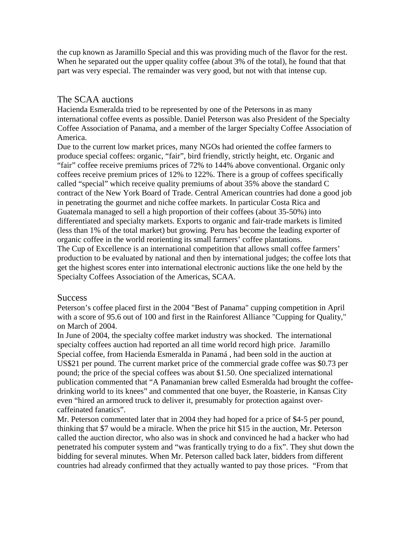the cup known as Jaramillo Special and this was providing much of the flavor for the rest. When he separated out the upper quality coffee (about 3% of the total), he found that that part was very especial. The remainder was very good, but not with that intense cup.

## The SCAA auctions

Hacienda Esmeralda tried to be represented by one of the Petersons in as many international coffee events as possible. Daniel Peterson was also President of the Specialty Coffee Association of Panama, and a member of the larger Specialty Coffee Association of America.

Due to the current low market prices, many NGOs had oriented the coffee farmers to produce special coffees: organic, "fair", bird friendly, strictly height, etc. Organic and "fair" coffee receive premiums prices of 72% to 144% above conventional. Organic only coffees receive premium prices of 12% to 122%. There is a group of coffees specifically called "special" which receive quality premiums of about 35% above the standard C contract of the New York Board of Trade. Central American countries had done a good job in penetrating the gourmet and niche coffee markets. In particular Costa Rica and Guatemala managed to sell a high proportion of their coffees (about 35-50%) into differentiated and specialty markets. Exports to organic and fair-trade markets is limited (less than 1% of the total market) but growing. Peru has become the leading exporter of organic coffee in the world reorienting its small farmers' coffee plantations. The Cup of Excellence is an international competition that allows small coffee farmers' production to be evaluated by national and then by international judges; the coffee lots that get the highest scores enter into international electronic auctions like the one held by the Specialty Coffees Association of the Americas, SCAA.

## **Success**

Peterson's coffee placed first in the 2004 "Best of Panama" cupping competition in April with a score of 95.6 out of 100 and first in the Rainforest Alliance "Cupping for Quality," on March of 2004.

In June of 2004, the specialty coffee market industry was shocked. The international specialty coffees auction had reported an all time world record high price. Jaramillo Special coffee, from Hacienda Esmeralda in Panamá , had been sold in the auction at US\$21 per pound. The current market price of the commercial grade coffee was \$0.73 per pound; the price of the special coffees was about \$1.50. One specialized international publication commented that "A Panamanian brew called Esmeralda had brought the coffeedrinking world to its knees" and commented that one buyer, the Roasterie, in Kansas City even "hired an armored truck to deliver it, presumably for protection against overcaffeinated fanatics".

Mr. Peterson commented later that in 2004 they had hoped for a price of \$4-5 per pound, thinking that \$7 would be a miracle. When the price hit \$15 in the auction, Mr. Peterson called the auction director, who also was in shock and convinced he had a hacker who had penetrated his computer system and "was frantically trying to do a fix". They shut down the bidding for several minutes. When Mr. Peterson called back later, bidders from different countries had already confirmed that they actually wanted to pay those prices. "From that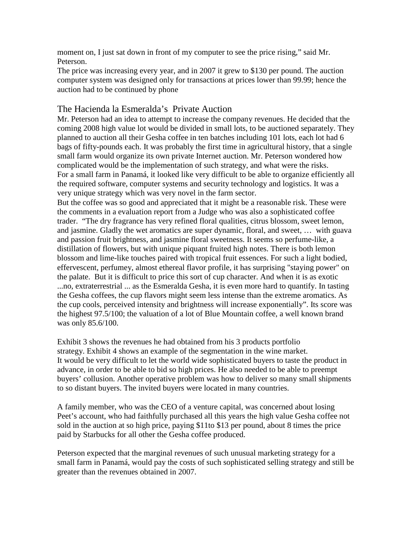moment on, I just sat down in front of my computer to see the price rising," said Mr. Peterson.

The price was increasing every year, and in 2007 it grew to \$130 per pound. The auction computer system was designed only for transactions at prices lower than 99.99; hence the auction had to be continued by phone

## The Hacienda la Esmeralda's Private Auction

Mr. Peterson had an idea to attempt to increase the company revenues. He decided that the coming 2008 high value lot would be divided in small lots, to be auctioned separately. They planned to auction all their Gesha coffee in ten batches including 101 lots, each lot had 6 bags of fifty-pounds each. It was probably the first time in agricultural history, that a single small farm would organize its own private Internet auction. Mr. Peterson wondered how complicated would be the implementation of such strategy, and what were the risks. For a small farm in Panamá, it looked like very difficult to be able to organize efficiently all the required software, computer systems and security technology and logistics. It was a very unique strategy which was very novel in the farm sector.

But the coffee was so good and appreciated that it might be a reasonable risk. These were the comments in a evaluation report from a Judge who was also a sophisticated coffee trader. "The dry fragrance has very refined floral qualities, citrus blossom, sweet lemon, and jasmine. Gladly the wet aromatics are super dynamic, floral, and sweet, … with guava and passion fruit brightness, and jasmine floral sweetness. It seems so perfume-like, a distillation of flowers, but with unique piquant fruited high notes. There is both lemon blossom and lime-like touches paired with tropical fruit essences. For such a light bodied, effervescent, perfumey, almost ethereal flavor profile, it has surprising "staying power" on the palate. But it is difficult to price this sort of cup character. And when it is as exotic ...no, extraterrestrial ... as the Esmeralda Gesha, it is even more hard to quantify. In tasting the Gesha coffees, the cup flavors might seem less intense than the extreme aromatics. As the cup cools, perceived intensity and brightness will increase exponentially". Its score was the highest 97.5/100; the valuation of a lot of Blue Mountain coffee, a well known brand was only 85.6/100.

Exhibit 3 shows the revenues he had obtained from his 3 products portfolio strategy. Exhibit 4 shows an example of the segmentation in the wine market. It would be very difficult to let the world wide sophisticated buyers to taste the product in advance, in order to be able to bid so high prices. He also needed to be able to preempt buyers' collusion. Another operative problem was how to deliver so many small shipments to so distant buyers. The invited buyers were located in many countries.

A family member, who was the CEO of a venture capital, was concerned about losing Peet's account, who had faithfully purchased all this years the high value Gesha coffee not sold in the auction at so high price, paying \$11to \$13 per pound, about 8 times the price paid by Starbucks for all other the Gesha coffee produced.

Peterson expected that the marginal revenues of such unusual marketing strategy for a small farm in Panamá, would pay the costs of such sophisticated selling strategy and still be greater than the revenues obtained in 2007.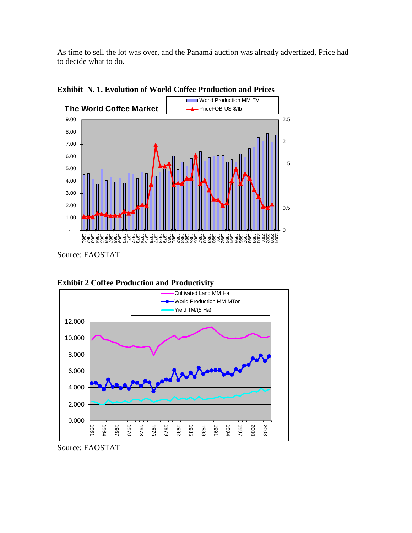As time to sell the lot was over, and the Panamá auction was already advertized, Price had to decide what to do.



**Exhibit N. 1. Evolution of World Coffee Production and Prices** 

Source: FAOSTAT



**Exhibit 2 Coffee Production and Productivity** 

Source: FAOSTAT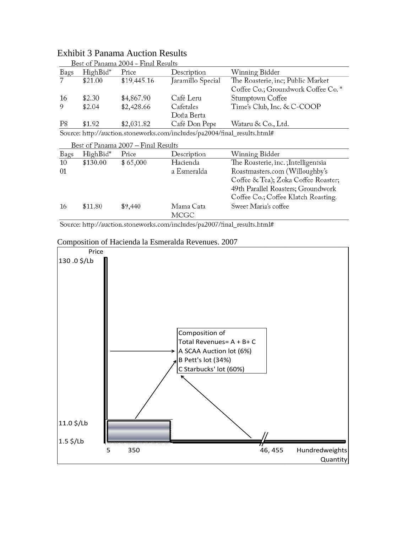|                                     |          | DCSt OI I anama 2004 - I'mai Ixcsuits |                                                                           |                                     |  |
|-------------------------------------|----------|---------------------------------------|---------------------------------------------------------------------------|-------------------------------------|--|
| Bags                                | HighBid* | Price                                 | Description                                                               | Winning Bidder                      |  |
|                                     | \$21.00  | \$19,445.16                           | Jaramillo Special                                                         | The Roasterie, inc; Public Market   |  |
|                                     |          |                                       |                                                                           | Coffee Co.; Groundwork Coffee Co.*  |  |
| 16                                  | \$2.30   | \$4,867.90                            | Café Leru                                                                 | Stumptown Coffee                    |  |
| 9                                   | \$2.04   | \$2,428.66                            | Cafetales                                                                 | Time's Club, Inc. & C-COOP          |  |
|                                     |          |                                       | Doña Berta                                                                |                                     |  |
| P8                                  | \$1.92   | \$2,031.82                            | Café Don Pepe                                                             | Wataru & Co., Ltd.                  |  |
|                                     |          |                                       | Source: http://auction.stoneworks.com/includes/pa2004/final_results.html# |                                     |  |
| Best of Panama 2007 – Final Results |          |                                       |                                                                           |                                     |  |
| Bags                                | HighBid* | Price                                 | Description                                                               | Winning Bidder                      |  |
| 10                                  | \$130.00 | \$65,000                              | Hacienda                                                                  | The Roasterie, inc.; Intelligentsia |  |
| 01                                  |          |                                       | a Esmeralda                                                               | Roastmasters.com (Willoughby's      |  |
|                                     |          |                                       |                                                                           | Coffee & Tea); Zoka Coffee Roaster; |  |
|                                     |          |                                       |                                                                           | 49th Parallel Roasters; Groundwork  |  |
|                                     |          |                                       |                                                                           | Coffee Co.; Coffee Klatch Roasting. |  |
| 16                                  | \$11.80  | \$9,440                               | Mama Cata                                                                 | Sweet Maria's coffee                |  |
|                                     |          |                                       | MCGC                                                                      |                                     |  |
|                                     |          |                                       |                                                                           |                                     |  |

# Exhibit 3 Panama Auction Results<br>Best of Panama 2004 - Final Results

Source: http://auction.stoneworks.com/includes/pa2007/final\_results.html#

## Composition of Hacienda la Esmeralda Revenues. 2007

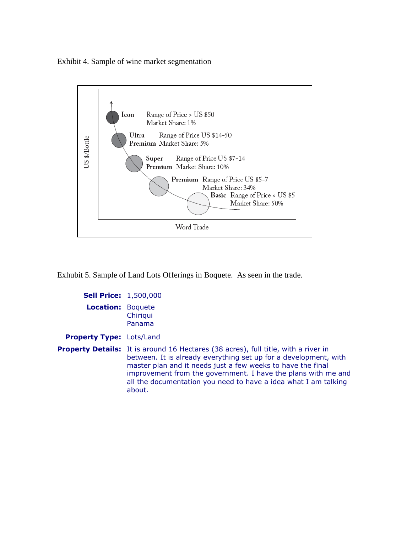Exhibit 4. Sample of wine market segmentation



Exhubit 5. Sample of Land Lots Offerings in Boquete. As seen in the trade.

| <b>Sell Price: 1,500,000</b>    |                                                                                                                                                                                                                                                                                                                                                                            |  |
|---------------------------------|----------------------------------------------------------------------------------------------------------------------------------------------------------------------------------------------------------------------------------------------------------------------------------------------------------------------------------------------------------------------------|--|
| <b>Location: Boquete</b>        | Chiriqui<br>Panama                                                                                                                                                                                                                                                                                                                                                         |  |
| <b>Property Type: Lots/Land</b> |                                                                                                                                                                                                                                                                                                                                                                            |  |
|                                 | <b>Property Details:</b> It is around 16 Hectares (38 acres), full title, with a river in<br>between. It is already everything set up for a development, with<br>master plan and it needs just a few weeks to have the final<br>improvement from the government. I have the plans with me and<br>all the documentation you need to have a idea what I am talking<br>about. |  |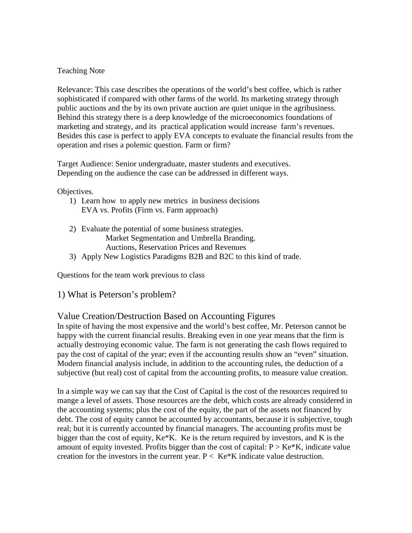#### Teaching Note

Relevance: This case describes the operations of the world's best coffee, which is rather sophisticated if compared with other farms of the world. Its marketing strategy through public auctions and the by its own private auction are quiet unique in the agribusiness. Behind this strategy there is a deep knowledge of the microeconomics foundations of marketing and strategy, and its practical application would increase farm's revenues. Besides this case is perfect to apply EVA concepts to evaluate the financial results from the operation and rises a polemic question. Farm or firm?

Target Audience: Senior undergraduate, master students and executives. Depending on the audience the case can be addressed in different ways.

#### Objectives.

- 1) Learn how to apply new metrics in business decisions EVA vs. Profits (Firm vs. Farm approach)
- 2) Evaluate the potential of some business strategies. Market Segmentation and Umbrella Branding. Auctions, Reservation Prices and Revenues
- 3) Apply New Logistics Paradigms B2B and B2C to this kind of trade.

Questions for the team work previous to class

1) What is Peterson's problem?

## Value Creation/Destruction Based on Accounting Figures

In spite of having the most expensive and the world's best coffee, Mr. Peterson cannot be happy with the current financial results. Breaking even in one year means that the firm is actually destroying economic value. The farm is not generating the cash flows required to pay the cost of capital of the year; even if the accounting results show an "even" situation. Modern financial analysis include, in addition to the accounting rules, the deduction of a subjective (but real) cost of capital from the accounting profits, to measure value creation.

In a simple way we can say that the Cost of Capital is the cost of the resources required to mange a level of assets. Those resources are the debt, which costs are already considered in the accounting systems; plus the cost of the equity, the part of the assets not financed by debt. The cost of equity cannot be accounted by accountants, because it is subjective, tough real; but it is currently accounted by financial managers. The accounting profits must be bigger than the cost of equity, Ke\*K. Ke is the return required by investors, and K is the amount of equity invested. Profits bigger than the cost of capital:  $P > Ke*K$ , indicate value creation for the investors in the current year.  $P < Ke*K$  indicate value destruction.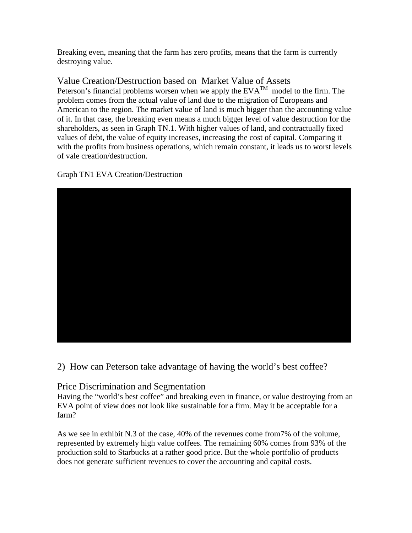Breaking even, meaning that the farm has zero profits, means that the farm is currently destroying value.

# Value Creation/Destruction based on Market Value of Assets

Peterson's financial problems worsen when we apply the  $EVA^{TM}$  model to the firm. The problem comes from the actual value of land due to the migration of Europeans and American to the region. The market value of land is much bigger than the accounting value of it. In that case, the breaking even means a much bigger level of value destruction for the shareholders, as seen in Graph TN.1. With higher values of land, and contractually fixed values of debt, the value of equity increases, increasing the cost of capital. Comparing it with the profits from business operations, which remain constant, it leads us to worst levels of vale creation/destruction.

Graph TN1 EVA Creation/Destruction



2) How can Peterson take advantage of having the world's best coffee?

## Price Discrimination and Segmentation

Having the "world's best coffee" and breaking even in finance, or value destroying from an EVA point of view does not look like sustainable for a firm. May it be acceptable for a farm?

As we see in exhibit N.3 of the case, 40% of the revenues come from7% of the volume, represented by extremely high value coffees. The remaining 60% comes from 93% of the production sold to Starbucks at a rather good price. But the whole portfolio of products does not generate sufficient revenues to cover the accounting and capital costs.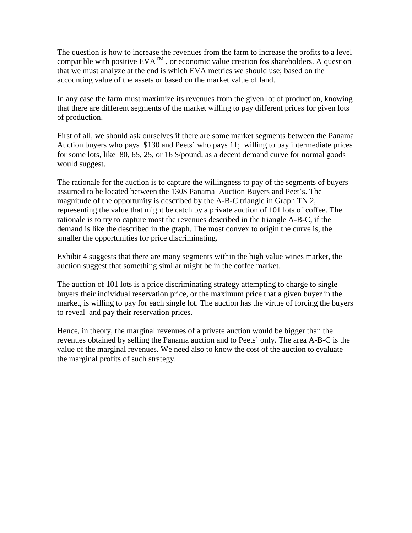The question is how to increase the revenues from the farm to increase the profits to a level compatible with positive  $EVA^{TM}$ , or economic value creation fos shareholders. A question that we must analyze at the end is which EVA metrics we should use; based on the accounting value of the assets or based on the market value of land.

In any case the farm must maximize its revenues from the given lot of production, knowing that there are different segments of the market willing to pay different prices for given lots of production.

First of all, we should ask ourselves if there are some market segments between the Panama Auction buyers who pays \$130 and Peets' who pays 11; willing to pay intermediate prices for some lots, like 80, 65, 25, or 16 \$/pound, as a decent demand curve for normal goods would suggest.

The rationale for the auction is to capture the willingness to pay of the segments of buyers assumed to be located between the 130\$ Panama Auction Buyers and Peet's. The magnitude of the opportunity is described by the A-B-C triangle in Graph TN 2, representing the value that might be catch by a private auction of 101 lots of coffee. The rationale is to try to capture most the revenues described in the triangle A-B-C, if the demand is like the described in the graph. The most convex to origin the curve is, the smaller the opportunities for price discriminating.

Exhibit 4 suggests that there are many segments within the high value wines market, the auction suggest that something similar might be in the coffee market.

The auction of 101 lots is a price discriminating strategy attempting to charge to single buyers their individual reservation price, or the maximum price that a given buyer in the market, is willing to pay for each single lot. The auction has the virtue of forcing the buyers to reveal and pay their reservation prices.

Hence, in theory, the marginal revenues of a private auction would be bigger than the revenues obtained by selling the Panama auction and to Peets' only. The area A-B-C is the value of the marginal revenues. We need also to know the cost of the auction to evaluate the marginal profits of such strategy.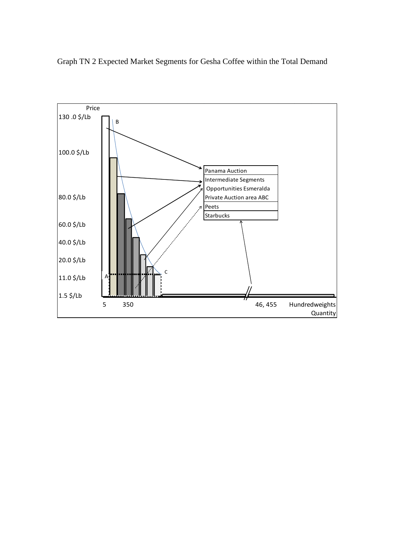Graph TN 2 Expected Market Segments for Gesha Coffee within the Total Demand

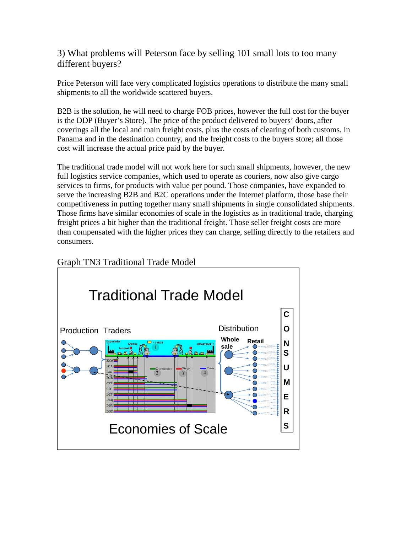# 3) What problems will Peterson face by selling 101 small lots to too many different buyers?

Price Peterson will face very complicated logistics operations to distribute the many small shipments to all the worldwide scattered buyers.

B2B is the solution, he will need to charge FOB prices, however the full cost for the buyer is the DDP (Buyer's Store). The price of the product delivered to buyers' doors, after coverings all the local and main freight costs, plus the costs of clearing of both customs, in Panama and in the destination country, and the freight costs to the buyers store; all those cost will increase the actual price paid by the buyer.

The traditional trade model will not work here for such small shipments, however, the new full logistics service companies, which used to operate as couriers, now also give cargo services to firms, for products with value per pound. Those companies, have expanded to serve the increasing B2B and B2C operations under the Internet platform, those base their competitiveness in putting together many small shipments in single consolidated shipments. Those firms have similar economies of scale in the logistics as in traditional trade, charging freight prices a bit higher than the traditional freight. Those seller freight costs are more than compensated with the higher prices they can charge, selling directly to the retailers and consumers.



# Graph TN3 Traditional Trade Model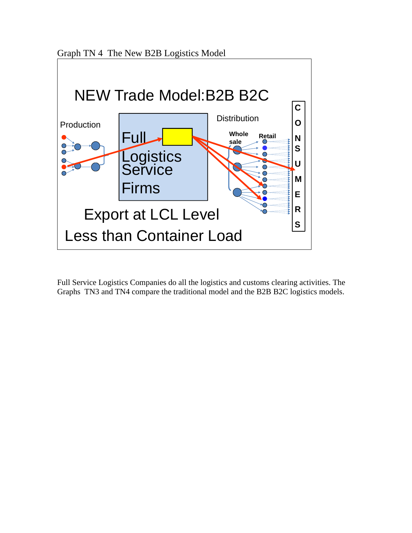Graph TN 4 The New B2B Logistics Model



Full Service Logistics Companies do all the logistics and customs clearing activities. The Graphs TN3 and TN4 compare the traditional model and the B2B B2C logistics models.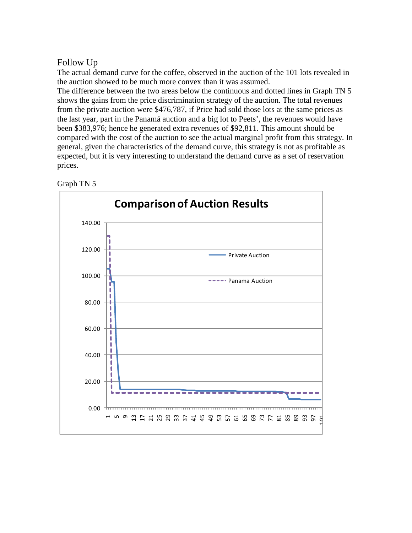## Follow Up

The actual demand curve for the coffee, observed in the auction of the 101 lots revealed in the auction showed to be much more convex than it was assumed.

The difference between the two areas below the continuous and dotted lines in Graph TN 5 shows the gains from the price discrimination strategy of the auction. The total revenues from the private auction were \$476,787, if Price had sold those lots at the same prices as the last year, part in the Panamá auction and a big lot to Peets', the revenues would have been \$383,976; hence he generated extra revenues of \$92,811. This amount should be compared with the cost of the auction to see the actual marginal profit from this strategy. In general, given the characteristics of the demand curve, this strategy is not as profitable as expected, but it is very interesting to understand the demand curve as a set of reservation prices.



### Graph TN 5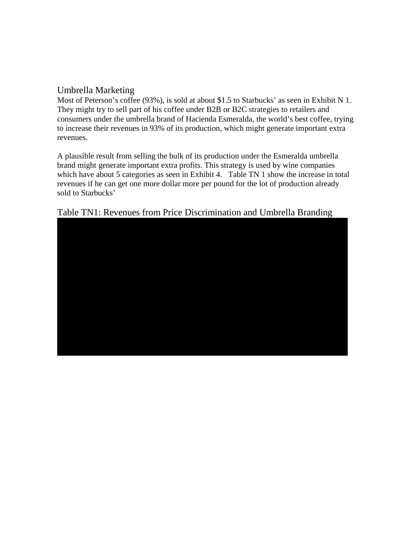# Umbrella Marketing

Most of Peterson's coffee (93%), is sold at about \$1.5 to Starbucks' as seen in Exhibit N 1. They might try to sell part of his coffee under B2B or B2C strategies to retailers and consumers under the umbrella brand of Hacienda Esmeralda, the world's best coffee, trying to increase their revenues in 93% of its production, which might generate important extra revenues.

A plausible result from selling the bulk of its production under the Esmeralda umbrella brand might generate important extra profits. This strategy is used by wine companies which have about 5 categories as seen in Exhibit 4. Table TN 1 show the increase in total revenues if he can get one more dollar more per pound for the lot of production already sold to Starbucks'

# Table TN1: Revenues from Price Discrimination and Umbrella Branding